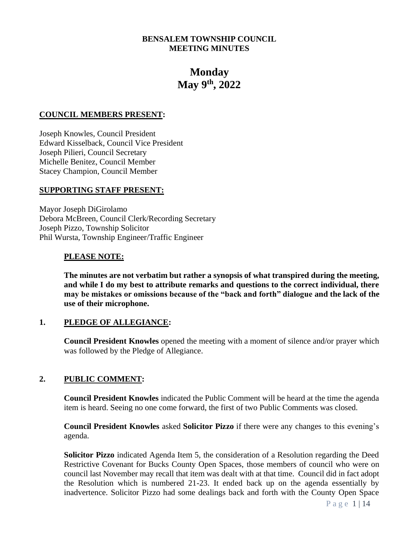# **BENSALEM TOWNSHIP COUNCIL MEETING MINUTES**

# **Monday May 9th, 2022**

#### **COUNCIL MEMBERS PRESENT:**

Joseph Knowles, Council President Edward Kisselback, Council Vice President Joseph Pilieri, Council Secretary Michelle Benitez, Council Member Stacey Champion, Council Member

#### **SUPPORTING STAFF PRESENT:**

Mayor Joseph DiGirolamo Debora McBreen, Council Clerk/Recording Secretary Joseph Pizzo, Township Solicitor Phil Wursta, Township Engineer/Traffic Engineer

#### **PLEASE NOTE:**

**The minutes are not verbatim but rather a synopsis of what transpired during the meeting, and while I do my best to attribute remarks and questions to the correct individual, there may be mistakes or omissions because of the "back and forth" dialogue and the lack of the use of their microphone.**

## **1. PLEDGE OF ALLEGIANCE:**

**Council President Knowles** opened the meeting with a moment of silence and/or prayer which was followed by the Pledge of Allegiance.

## **2. PUBLIC COMMENT:**

**Council President Knowles** indicated the Public Comment will be heard at the time the agenda item is heard. Seeing no one come forward, the first of two Public Comments was closed.

**Council President Knowles** asked **Solicitor Pizzo** if there were any changes to this evening's agenda.

**Solicitor Pizzo** indicated Agenda Item 5, the consideration of a Resolution regarding the Deed Restrictive Covenant for Bucks County Open Spaces, those members of council who were on council last November may recall that item was dealt with at that time. Council did in fact adopt the Resolution which is numbered 21-23. It ended back up on the agenda essentially by inadvertence. Solicitor Pizzo had some dealings back and forth with the County Open Space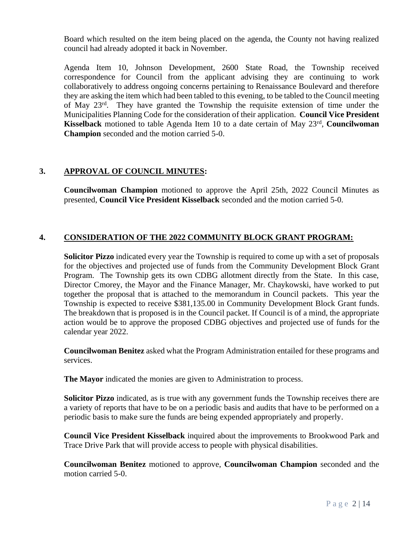Board which resulted on the item being placed on the agenda, the County not having realized council had already adopted it back in November.

Agenda Item 10, Johnson Development, 2600 State Road, the Township received correspondence for Council from the applicant advising they are continuing to work collaboratively to address ongoing concerns pertaining to Renaissance Boulevard and therefore they are asking the item which had been tabled to this evening, to be tabled to the Council meeting of May 23<sup>rd</sup>. They have granted the Township the requisite extension of time under the Municipalities Planning Code for the consideration of their application. **Council Vice President Kisselback** motioned to table Agenda Item 10 to a date certain of May 23<sup>rd</sup>, **Councilwoman Champion** seconded and the motion carried 5-0.

# **3. APPROVAL OF COUNCIL MINUTES:**

**Councilwoman Champion** motioned to approve the April 25th, 2022 Council Minutes as presented, **Council Vice President Kisselback** seconded and the motion carried 5-0.

# **4. CONSIDERATION OF THE 2022 COMMUNITY BLOCK GRANT PROGRAM:**

**Solicitor Pizzo** indicated every year the Township is required to come up with a set of proposals for the objectives and projected use of funds from the Community Development Block Grant Program. The Township gets its own CDBG allotment directly from the State. In this case, Director Cmorey, the Mayor and the Finance Manager, Mr. Chaykowski, have worked to put together the proposal that is attached to the memorandum in Council packets. This year the Township is expected to receive \$381,135.00 in Community Development Block Grant funds. The breakdown that is proposed is in the Council packet. If Council is of a mind, the appropriate action would be to approve the proposed CDBG objectives and projected use of funds for the calendar year 2022.

**Councilwoman Benitez** asked what the Program Administration entailed for these programs and services.

**The Mayor** indicated the monies are given to Administration to process.

**Solicitor Pizzo** indicated, as is true with any government funds the Township receives there are a variety of reports that have to be on a periodic basis and audits that have to be performed on a periodic basis to make sure the funds are being expended appropriately and properly.

**Council Vice President Kisselback** inquired about the improvements to Brookwood Park and Trace Drive Park that will provide access to people with physical disabilities.

**Councilwoman Benitez** motioned to approve, **Councilwoman Champion** seconded and the motion carried 5-0.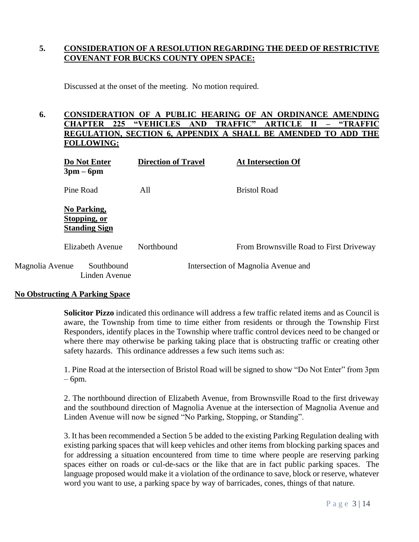# **5. CONSIDERATION OF A RESOLUTION REGARDING THE DEED OF RESTRICTIVE COVENANT FOR BUCKS COUNTY OPEN SPACE:**

Discussed at the onset of the meeting. No motion required.

# **6. CONSIDERATION OF A PUBLIC HEARING OF AN ORDINANCE AMENDING CHAPTER 225 "VEHICLES AND TRAFFIC" ARTICLE II – "TRAFFIC REGULATION, SECTION 6, APPENDIX A SHALL BE AMENDED TO ADD THE FOLLOWING:**

|                 | Do Not Enter<br>$3pm-6pm$                           | <b>Direction of Travel</b> | <b>At Intersection Of</b>               |  |
|-----------------|-----------------------------------------------------|----------------------------|-----------------------------------------|--|
|                 | Pine Road                                           | All                        | <b>Bristol Road</b>                     |  |
|                 | No Parking,<br>Stopping, or<br><b>Standing Sign</b> |                            |                                         |  |
|                 | Elizabeth Avenue                                    | Northbound                 | From Brownsville Road to First Driveway |  |
| Magnolia Avenue | Southbound<br>Linden Avenue                         |                            | Intersection of Magnolia Avenue and     |  |

## **No Obstructing A Parking Space**

**Solicitor Pizzo** indicated this ordinance will address a few traffic related items and as Council is aware, the Township from time to time either from residents or through the Township First Responders, identify places in the Township where traffic control devices need to be changed or where there may otherwise be parking taking place that is obstructing traffic or creating other safety hazards. This ordinance addresses a few such items such as:

1. Pine Road at the intersection of Bristol Road will be signed to show "Do Not Enter" from 3pm – 6pm.

2. The northbound direction of Elizabeth Avenue, from Brownsville Road to the first driveway and the southbound direction of Magnolia Avenue at the intersection of Magnolia Avenue and Linden Avenue will now be signed "No Parking, Stopping, or Standing".

3. It has been recommended a Section 5 be added to the existing Parking Regulation dealing with existing parking spaces that will keep vehicles and other items from blocking parking spaces and for addressing a situation encountered from time to time where people are reserving parking spaces either on roads or cul-de-sacs or the like that are in fact public parking spaces. The language proposed would make it a violation of the ordinance to save, block or reserve, whatever word you want to use, a parking space by way of barricades, cones, things of that nature.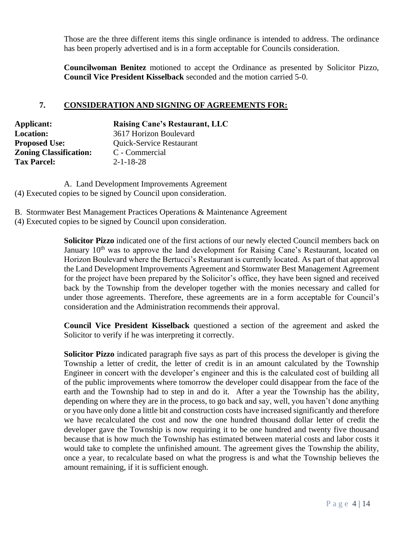Those are the three different items this single ordinance is intended to address. The ordinance has been properly advertised and is in a form acceptable for Councils consideration.

**Councilwoman Benitez** motioned to accept the Ordinance as presented by Solicitor Pizzo, **Council Vice President Kisselback** seconded and the motion carried 5-0.

# **7. CONSIDERATION AND SIGNING OF AGREEMENTS FOR:**

| Applicant:                    | <b>Raising Cane's Restaurant, LLC</b> |
|-------------------------------|---------------------------------------|
| <b>Location:</b>              | 3617 Horizon Boulevard                |
| <b>Proposed Use:</b>          | Quick-Service Restaurant              |
| <b>Zoning Classification:</b> | C - Commercial                        |
| <b>Tax Parcel:</b>            | $2 - 1 - 18 - 28$                     |

A. Land Development Improvements Agreement (4) Executed copies to be signed by Council upon consideration.

B. Stormwater Best Management Practices Operations & Maintenance Agreement (4) Executed copies to be signed by Council upon consideration.

> **Solicitor Pizzo** indicated one of the first actions of our newly elected Council members back on January 10<sup>th</sup> was to approve the land development for Raising Cane's Restaurant, located on Horizon Boulevard where the Bertucci's Restaurant is currently located. As part of that approval the Land Development Improvements Agreement and Stormwater Best Management Agreement for the project have been prepared by the Solicitor's office, they have been signed and received back by the Township from the developer together with the monies necessary and called for under those agreements. Therefore, these agreements are in a form acceptable for Council's consideration and the Administration recommends their approval.

> **Council Vice President Kisselback** questioned a section of the agreement and asked the Solicitor to verify if he was interpreting it correctly.

> **Solicitor Pizzo** indicated paragraph five says as part of this process the developer is giving the Township a letter of credit, the letter of credit is in an amount calculated by the Township Engineer in concert with the developer's engineer and this is the calculated cost of building all of the public improvements where tomorrow the developer could disappear from the face of the earth and the Township had to step in and do it. After a year the Township has the ability, depending on where they are in the process, to go back and say, well, you haven't done anything or you have only done a little bit and construction costs have increased significantly and therefore we have recalculated the cost and now the one hundred thousand dollar letter of credit the developer gave the Township is now requiring it to be one hundred and twenty five thousand because that is how much the Township has estimated between material costs and labor costs it would take to complete the unfinished amount. The agreement gives the Township the ability, once a year, to recalculate based on what the progress is and what the Township believes the amount remaining, if it is sufficient enough.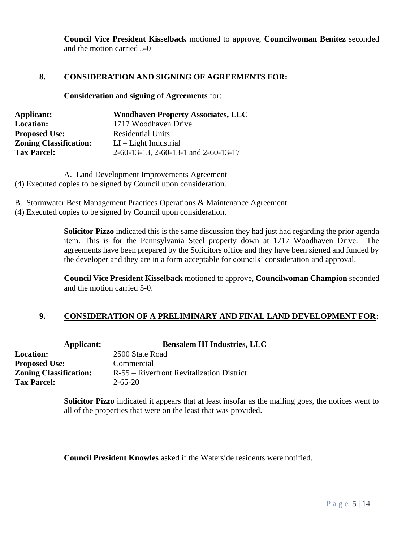**Council Vice President Kisselback** motioned to approve, **Councilwoman Benitez** seconded and the motion carried 5-0

## **8. CONSIDERATION AND SIGNING OF AGREEMENTS FOR:**

**Consideration** and **signing** of **Agreements** for:

| Applicant:                    | <b>Woodhaven Property Associates, LLC</b> |
|-------------------------------|-------------------------------------------|
| <b>Location:</b>              | 1717 Woodhaven Drive                      |
| <b>Proposed Use:</b>          | <b>Residential Units</b>                  |
| <b>Zoning Classification:</b> | $LI - Light Industrial$                   |
| <b>Tax Parcel:</b>            | 2-60-13-13, 2-60-13-1 and 2-60-13-17      |

A. Land Development Improvements Agreement (4) Executed copies to be signed by Council upon consideration.

B. Stormwater Best Management Practices Operations & Maintenance Agreement

(4) Executed copies to be signed by Council upon consideration.

**Solicitor Pizzo** indicated this is the same discussion they had just had regarding the prior agenda item. This is for the Pennsylvania Steel property down at 1717 Woodhaven Drive. The agreements have been prepared by the Solicitors office and they have been signed and funded by the developer and they are in a form acceptable for councils' consideration and approval.

**Council Vice President Kisselback** motioned to approve, **Councilwoman Champion** seconded and the motion carried 5-0.

# **9. CONSIDERATION OF A PRELIMINARY AND FINAL LAND DEVELOPMENT FOR:**

| <b>Bensalem III Industries, LLC</b>       |
|-------------------------------------------|
| 2500 State Road                           |
| Commercial                                |
| R-55 – Riverfront Revitalization District |
| $2 - 65 - 20$                             |
|                                           |

**Solicitor Pizzo** indicated it appears that at least insofar as the mailing goes, the notices went to all of the properties that were on the least that was provided.

**Council President Knowles** asked if the Waterside residents were notified.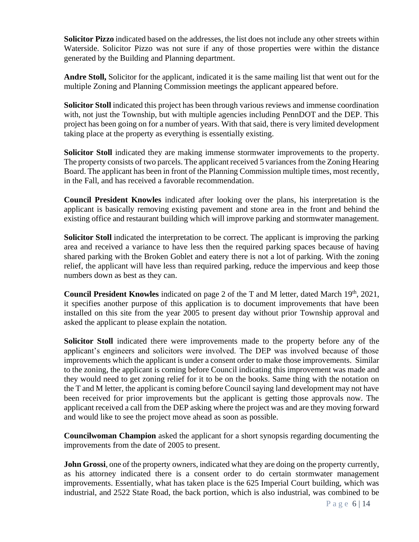**Solicitor Pizzo** indicated based on the addresses, the list does not include any other streets within Waterside. Solicitor Pizzo was not sure if any of those properties were within the distance generated by the Building and Planning department.

**Andre Stoll,** Solicitor for the applicant, indicated it is the same mailing list that went out for the multiple Zoning and Planning Commission meetings the applicant appeared before.

**Solicitor Stoll** indicated this project has been through various reviews and immense coordination with, not just the Township, but with multiple agencies including PennDOT and the DEP. This project has been going on for a number of years. With that said, there is very limited development taking place at the property as everything is essentially existing.

**Solicitor Stoll** indicated they are making immense stormwater improvements to the property. The property consists of two parcels. The applicant received 5 variances from the Zoning Hearing Board. The applicant has been in front of the Planning Commission multiple times, most recently, in the Fall, and has received a favorable recommendation.

**Council President Knowles** indicated after looking over the plans, his interpretation is the applicant is basically removing existing pavement and stone area in the front and behind the existing office and restaurant building which will improve parking and stormwater management.

**Solicitor Stoll** indicated the interpretation to be correct. The applicant is improving the parking area and received a variance to have less then the required parking spaces because of having shared parking with the Broken Goblet and eatery there is not a lot of parking. With the zoning relief, the applicant will have less than required parking, reduce the impervious and keep those numbers down as best as they can.

**Council President Knowles** indicated on page 2 of the T and M letter, dated March 19th, 2021, it specifies another purpose of this application is to document improvements that have been installed on this site from the year 2005 to present day without prior Township approval and asked the applicant to please explain the notation.

**Solicitor Stoll** indicated there were improvements made to the property before any of the applicant's engineers and solicitors were involved. The DEP was involved because of those improvements which the applicant is under a consent order to make those improvements. Similar to the zoning, the applicant is coming before Council indicating this improvement was made and they would need to get zoning relief for it to be on the books. Same thing with the notation on the T and M letter, the applicant is coming before Council saying land development may not have been received for prior improvements but the applicant is getting those approvals now. The applicant received a call from the DEP asking where the project was and are they moving forward and would like to see the project move ahead as soon as possible.

**Councilwoman Champion** asked the applicant for a short synopsis regarding documenting the improvements from the date of 2005 to present.

**John Grossi**, one of the property owners, indicated what they are doing on the property currently, as his attorney indicated there is a consent order to do certain stormwater management improvements. Essentially, what has taken place is the 625 Imperial Court building, which was industrial, and 2522 State Road, the back portion, which is also industrial, was combined to be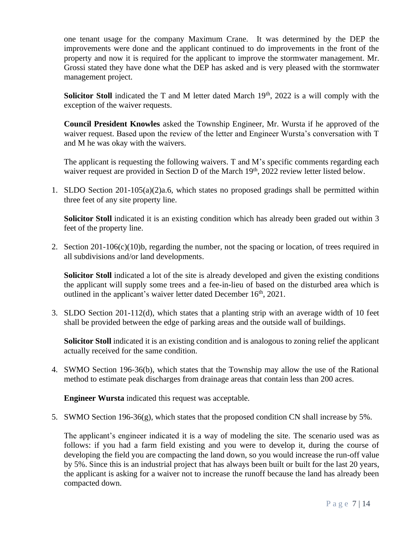one tenant usage for the company Maximum Crane. It was determined by the DEP the improvements were done and the applicant continued to do improvements in the front of the property and now it is required for the applicant to improve the stormwater management. Mr. Grossi stated they have done what the DEP has asked and is very pleased with the stormwater management project.

Solicitor Stoll indicated the T and M letter dated March 19<sup>th</sup>, 2022 is a will comply with the exception of the waiver requests.

**Council President Knowles** asked the Township Engineer, Mr. Wursta if he approved of the waiver request. Based upon the review of the letter and Engineer Wursta's conversation with T and M he was okay with the waivers.

The applicant is requesting the following waivers. T and M's specific comments regarding each waiver request are provided in Section D of the March 19<sup>th</sup>, 2022 review letter listed below.

1. SLDO Section 201-105(a)(2)a.6, which states no proposed gradings shall be permitted within three feet of any site property line.

**Solicitor Stoll** indicated it is an existing condition which has already been graded out within 3 feet of the property line.

2. Section 201-106(c)(10)b, regarding the number, not the spacing or location, of trees required in all subdivisions and/or land developments.

**Solicitor Stoll** indicated a lot of the site is already developed and given the existing conditions the applicant will supply some trees and a fee-in-lieu of based on the disturbed area which is outlined in the applicant's waiver letter dated December 16<sup>th</sup>, 2021.

3. SLDO Section 201-112(d), which states that a planting strip with an average width of 10 feet shall be provided between the edge of parking areas and the outside wall of buildings.

**Solicitor Stoll** indicated it is an existing condition and is analogous to zoning relief the applicant actually received for the same condition.

4. SWMO Section 196-36(b), which states that the Township may allow the use of the Rational method to estimate peak discharges from drainage areas that contain less than 200 acres.

**Engineer Wursta** indicated this request was acceptable.

5. SWMO Section 196-36(g), which states that the proposed condition CN shall increase by 5%.

The applicant's engineer indicated it is a way of modeling the site. The scenario used was as follows: if you had a farm field existing and you were to develop it, during the course of developing the field you are compacting the land down, so you would increase the run-off value by 5%. Since this is an industrial project that has always been built or built for the last 20 years, the applicant is asking for a waiver not to increase the runoff because the land has already been compacted down.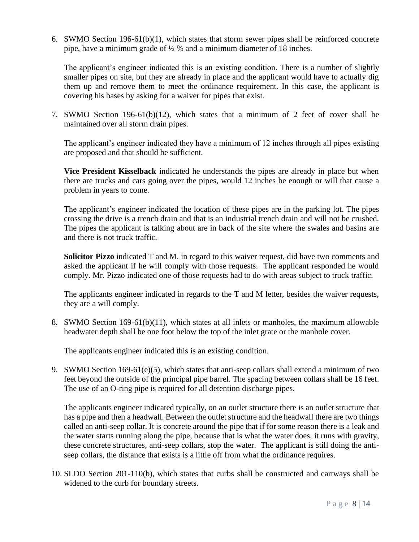6. SWMO Section 196-61(b)(1), which states that storm sewer pipes shall be reinforced concrete pipe, have a minimum grade of  $\frac{1}{2}$  % and a minimum diameter of 18 inches.

The applicant's engineer indicated this is an existing condition. There is a number of slightly smaller pipes on site, but they are already in place and the applicant would have to actually dig them up and remove them to meet the ordinance requirement. In this case, the applicant is covering his bases by asking for a waiver for pipes that exist.

7. SWMO Section 196-61(b)(12), which states that a minimum of 2 feet of cover shall be maintained over all storm drain pipes.

The applicant's engineer indicated they have a minimum of 12 inches through all pipes existing are proposed and that should be sufficient.

**Vice President Kisselback** indicated he understands the pipes are already in place but when there are trucks and cars going over the pipes, would 12 inches be enough or will that cause a problem in years to come.

The applicant's engineer indicated the location of these pipes are in the parking lot. The pipes crossing the drive is a trench drain and that is an industrial trench drain and will not be crushed. The pipes the applicant is talking about are in back of the site where the swales and basins are and there is not truck traffic.

**Solicitor Pizzo** indicated T and M, in regard to this waiver request, did have two comments and asked the applicant if he will comply with those requests. The applicant responded he would comply. Mr. Pizzo indicated one of those requests had to do with areas subject to truck traffic.

The applicants engineer indicated in regards to the T and M letter, besides the waiver requests, they are a will comply.

8. SWMO Section 169-61(b)(11), which states at all inlets or manholes, the maximum allowable headwater depth shall be one foot below the top of the inlet grate or the manhole cover.

The applicants engineer indicated this is an existing condition.

9. SWMO Section 169-61(e)(5), which states that anti-seep collars shall extend a minimum of two feet beyond the outside of the principal pipe barrel. The spacing between collars shall be 16 feet. The use of an O-ring pipe is required for all detention discharge pipes.

The applicants engineer indicated typically, on an outlet structure there is an outlet structure that has a pipe and then a headwall. Between the outlet structure and the headwall there are two things called an anti-seep collar. It is concrete around the pipe that if for some reason there is a leak and the water starts running along the pipe, because that is what the water does, it runs with gravity, these concrete structures, anti-seep collars, stop the water. The applicant is still doing the antiseep collars, the distance that exists is a little off from what the ordinance requires.

10. SLDO Section 201-110(b), which states that curbs shall be constructed and cartways shall be widened to the curb for boundary streets.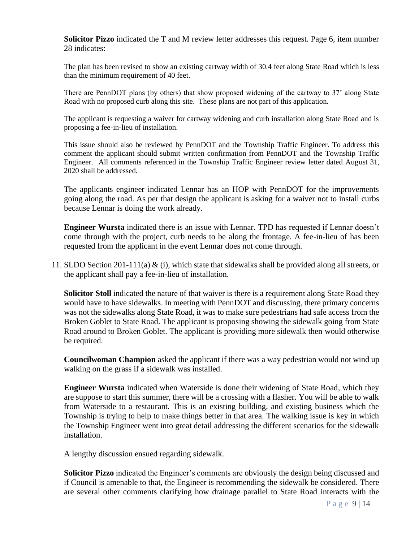**Solicitor Pizzo** indicated the T and M review letter addresses this request. Page 6, item number 28 indicates:

The plan has been revised to show an existing cartway width of 30.4 feet along State Road which is less than the minimum requirement of 40 feet.

There are PennDOT plans (by others) that show proposed widening of the cartway to 37' along State Road with no proposed curb along this site. These plans are not part of this application.

The applicant is requesting a waiver for cartway widening and curb installation along State Road and is proposing a fee-in-lieu of installation.

This issue should also be reviewed by PennDOT and the Township Traffic Engineer. To address this comment the applicant should submit written confirmation from PennDOT and the Township Traffic Engineer. All comments referenced in the Township Traffic Engineer review letter dated August 31, 2020 shall be addressed.

The applicants engineer indicated Lennar has an HOP with PennDOT for the improvements going along the road. As per that design the applicant is asking for a waiver not to install curbs because Lennar is doing the work already.

**Engineer Wursta** indicated there is an issue with Lennar. TPD has requested if Lennar doesn't come through with the project, curb needs to be along the frontage. A fee-in-lieu of has been requested from the applicant in the event Lennar does not come through.

11. SLDO Section 201-111(a) & (i), which state that sidewalks shall be provided along all streets, or the applicant shall pay a fee-in-lieu of installation.

**Solicitor Stoll** indicated the nature of that waiver is there is a requirement along State Road they would have to have sidewalks. In meeting with PennDOT and discussing, there primary concerns was not the sidewalks along State Road, it was to make sure pedestrians had safe access from the Broken Goblet to State Road. The applicant is proposing showing the sidewalk going from State Road around to Broken Goblet. The applicant is providing more sidewalk then would otherwise be required.

**Councilwoman Champion** asked the applicant if there was a way pedestrian would not wind up walking on the grass if a sidewalk was installed.

**Engineer Wursta** indicated when Waterside is done their widening of State Road, which they are suppose to start this summer, there will be a crossing with a flasher. You will be able to walk from Waterside to a restaurant. This is an existing building, and existing business which the Township is trying to help to make things better in that area. The walking issue is key in which the Township Engineer went into great detail addressing the different scenarios for the sidewalk installation.

A lengthy discussion ensued regarding sidewalk.

**Solicitor Pizzo** indicated the Engineer's comments are obviously the design being discussed and if Council is amenable to that, the Engineer is recommending the sidewalk be considered. There are several other comments clarifying how drainage parallel to State Road interacts with the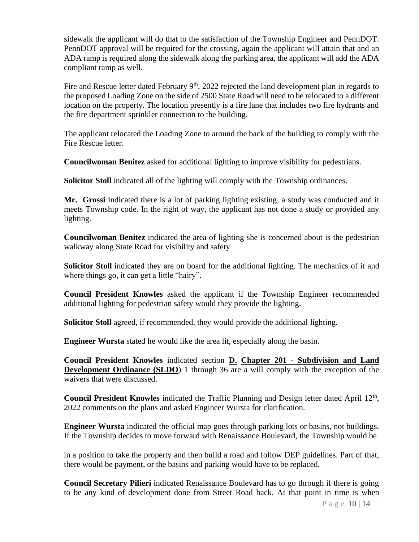sidewalk the applicant will do that to the satisfaction of the Township Engineer and PennDOT. PennDOT approval will be required for the crossing, again the applicant will attain that and an ADA ramp is required along the sidewalk along the parking area, the applicant will add the ADA compliant ramp as well.

Fire and Rescue letter dated February  $9<sup>th</sup>$ , 2022 rejected the land development plan in regards to the proposed Loading Zone on the side of 2500 State Road will need to be relocated to a different location on the property. The location presently is a fire lane that includes two fire hydrants and the fire department sprinkler connection to the building.

The applicant relocated the Loading Zone to around the back of the building to comply with the Fire Rescue letter.

**Councilwoman Benitez** asked for additional lighting to improve visibility for pedestrians.

**Solicitor Stoll** indicated all of the lighting will comply with the Township ordinances.

**Mr. Grossi** indicated there is a lot of parking lighting existing, a study was conducted and it meets Township code. In the right of way, the applicant has not done a study or provided any lighting.

**Councilwoman Benitez** indicated the area of lighting she is concerned about is the pedestrian walkway along State Road for visibility and safety

**Solicitor Stoll** indicated they are on board for the additional lighting. The mechanics of it and where things go, it can get a little "hairy".

**Council President Knowles** asked the applicant if the Township Engineer recommended additional lighting for pedestrian safety would they provide the lighting.

**Solicitor Stoll** agreed, if recommended, they would provide the additional lighting.

**Engineer Wursta** stated he would like the area lit, especially along the basin.

**Council President Knowles** indicated section **D. Chapter 201 - Subdivision and Land Development Ordinance (SLDO)** 1 through 36 are a will comply with the exception of the waivers that were discussed.

Council President Knowles indicated the Traffic Planning and Design letter dated April 12<sup>th</sup>, 2022 comments on the plans and asked Engineer Wursta for clarification.

**Engineer Wursta** indicated the official map goes through parking lots or basins, not buildings. If the Township decides to move forward with Renaissance Boulevard, the Township would be

in a position to take the property and then build a road and follow DEP guidelines. Part of that, there would be payment, or the basins and parking would have to be replaced.

**Council Secretary Pilieri** indicated Renaissance Boulevard has to go through if there is going to be any kind of development done from Street Road back. At that point in time is when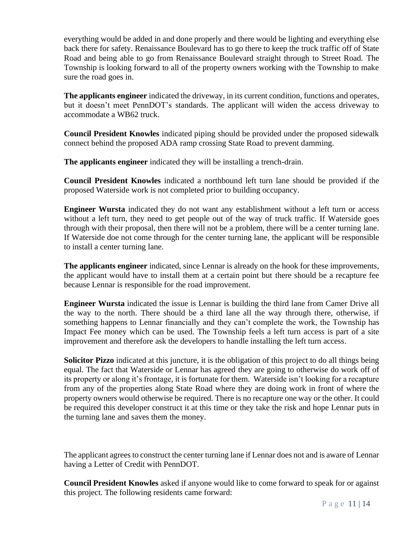everything would be added in and done properly and there would be lighting and everything else back there for safety. Renaissance Boulevard has to go there to keep the truck traffic off of State Road and being able to go from Renaissance Boulevard straight through to Street Road. The Township is looking forward to all of the property owners working with the Township to make sure the road goes in.

**The applicants engineer** indicated the driveway, in its current condition, functions and operates, but it doesn't meet PennDOT's standards. The applicant will widen the access driveway to accommodate a WB62 truck.

**Council President Knowles** indicated piping should be provided under the proposed sidewalk connect behind the proposed ADA ramp crossing State Road to prevent damming.

**The applicants engineer** indicated they will be installing a trench-drain.

**Council President Knowles** indicated a northbound left turn lane should be provided if the proposed Waterside work is not completed prior to building occupancy.

**Engineer Wursta** indicated they do not want any establishment without a left turn or access without a left turn, they need to get people out of the way of truck traffic. If Waterside goes through with their proposal, then there will not be a problem, there will be a center turning lane. If Waterside doe not come through for the center turning lane, the applicant will be responsible to install a center turning lane.

**The applicants engineer** indicated, since Lennar is already on the hook for these improvements, the applicant would have to install them at a certain point but there should be a recapture fee because Lennar is responsible for the road improvement.

**Engineer Wursta** indicated the issue is Lennar is building the third lane from Camer Drive all the way to the north. There should be a third lane all the way through there, otherwise, if something happens to Lennar financially and they can't complete the work, the Township has Impact Fee money which can be used. The Township feels a left turn access is part of a site improvement and therefore ask the developers to handle installing the left turn access.

**Solicitor Pizzo** indicated at this juncture, it is the obligation of this project to do all things being equal. The fact that Waterside or Lennar has agreed they are going to otherwise do work off of its property or along it's frontage, it is fortunate for them. Waterside isn't looking for a recapture from any of the properties along State Road where they are doing work in front of where the property owners would otherwise be required. There is no recapture one way or the other. It could be required this developer construct it at this time or they take the risk and hope Lennar puts in the turning lane and saves them the money.

The applicant agrees to construct the center turning lane if Lennar does not and is aware of Lennar having a Letter of Credit with PennDOT.

**Council President Knowles** asked if anyone would like to come forward to speak for or against this project. The following residents came forward: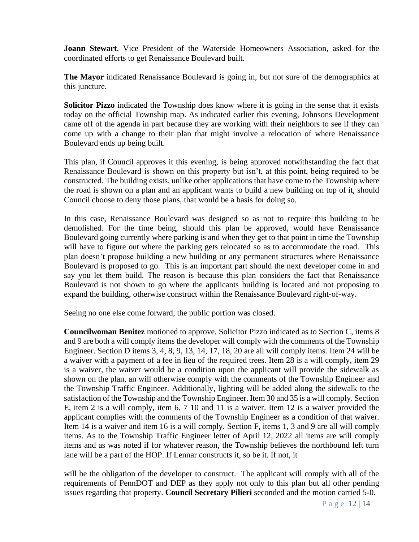**Joann Stewart**, Vice President of the Waterside Homeowners Association, asked for the coordinated efforts to get Renaissance Boulevard built.

**The Mayor** indicated Renaissance Boulevard is going in, but not sure of the demographics at this juncture.

**Solicitor Pizzo** indicated the Township does know where it is going in the sense that it exists today on the official Township map. As indicated earlier this evening, Johnsons Development came off of the agenda in part because they are working with their neighbors to see if they can come up with a change to their plan that might involve a relocation of where Renaissance Boulevard ends up being built.

This plan, if Council approves it this evening, is being approved notwithstanding the fact that Renaissance Boulevard is shown on this property but isn't, at this point, being required to be constructed. The building exists, unlike other applications that have come to the Township where the road is shown on a plan and an applicant wants to build a new building on top of it, should Council choose to deny those plans, that would be a basis for doing so.

In this case, Renaissance Boulevard was designed so as not to require this building to be demolished. For the time being, should this plan be approved, would have Renaissance Boulevard going currently where parking is and when they get to that point in time the Township will have to figure out where the parking gets relocated so as to accommodate the road. This plan doesn't propose building a new building or any permanent structures where Renaissance Boulevard is proposed to go. This is an important part should the next developer come in and say you let them build. The reason is because this plan considers the fact that Renaissance Boulevard is not shown to go where the applicants building is located and not proposing to expand the building, otherwise construct within the Renaissance Boulevard right-of-way.

Seeing no one else come forward, the public portion was closed.

**Councilwoman Benitez** motioned to approve, Solicitor Pizzo indicated as to Section C, items 8 and 9 are both a will comply items the developer will comply with the comments of the Township Engineer. Section D items 3, 4, 8, 9, 13, 14, 17, 18, 20 are all will comply items. Item 24 will be a waiver with a payment of a fee in lieu of the required trees. Item 28 is a will comply, item 29 is a waiver, the waiver would be a condition upon the applicant will provide the sidewalk as shown on the plan, an will otherwise comply with the comments of the Township Engineer and the Township Traffic Engineer. Additionally, lighting will be added along the sidewalk to the satisfaction of the Township and the Township Engineer. Item 30 and 35 is a will comply. Section E, item 2 is a will comply, item 6, 7 10 and 11 is a waiver. Item 12 is a waiver provided the applicant complies with the comments of the Township Engineer as a condition of that waiver. Item 14 is a waiver and item 16 is a will comply. Section F, items 1, 3 and 9 are all will comply items. As to the Township Traffic Engineer letter of April 12, 2022 all items are will comply items and as was noted if for whatever reason, the Township believes the northbound left turn lane will be a part of the HOP. If Lennar constructs it, so be it. If not, it

will be the obligation of the developer to construct. The applicant will comply with all of the requirements of PennDOT and DEP as they apply not only to this plan but all other pending issues regarding that property. **Council Secretary Pilieri** seconded and the motion carried 5-0.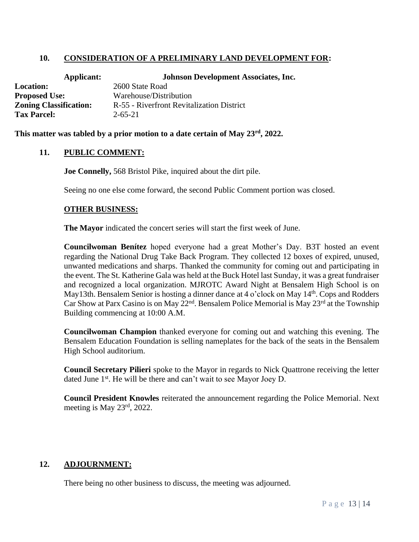# **10. CONSIDERATION OF A PRELIMINARY LAND DEVELOPMENT FOR:**

| <b>Johnson Development Associates, Inc.</b> |
|---------------------------------------------|
| 2600 State Road                             |
| Warehouse/Distribution                      |
| R-55 - Riverfront Revitalization District   |
| $2 - 65 - 21$                               |
|                                             |

**This matter was tabled by a prior motion to a date certain of May 23rd, 2022.**

## **11. PUBLIC COMMENT:**

**Joe Connelly,** 568 Bristol Pike, inquired about the dirt pile.

Seeing no one else come forward, the second Public Comment portion was closed.

#### **OTHER BUSINESS:**

**The Mayor** indicated the concert series will start the first week of June.

**Councilwoman Benítez** hoped everyone had a great Mother's Day. B3T hosted an event regarding the National Drug Take Back Program. They collected 12 boxes of expired, unused, unwanted medications and sharps. Thanked the community for coming out and participating in the event. The St. Katherine Gala was held at the Buck Hotel last Sunday, it was a great fundraiser and recognized a local organization. MJROTC Award Night at Bensalem High School is on May13th. Bensalem Senior is hosting a dinner dance at 4 o'clock on May 14<sup>th</sup>. Cops and Rodders Car Show at Parx Casino is on May  $22<sup>nd</sup>$ . Bensalem Police Memorial is May  $23<sup>rd</sup>$  at the Township Building commencing at 10:00 A.M.

**Councilwoman Champion** thanked everyone for coming out and watching this evening. The Bensalem Education Foundation is selling nameplates for the back of the seats in the Bensalem High School auditorium.

**Council Secretary Pilieri** spoke to the Mayor in regards to Nick Quattrone receiving the letter dated June 1<sup>st</sup>. He will be there and can't wait to see Mayor Joey D.

**Council President Knowles** reiterated the announcement regarding the Police Memorial. Next meeting is May 23rd, 2022.

## **12. ADJOURNMENT:**

There being no other business to discuss, the meeting was adjourned.